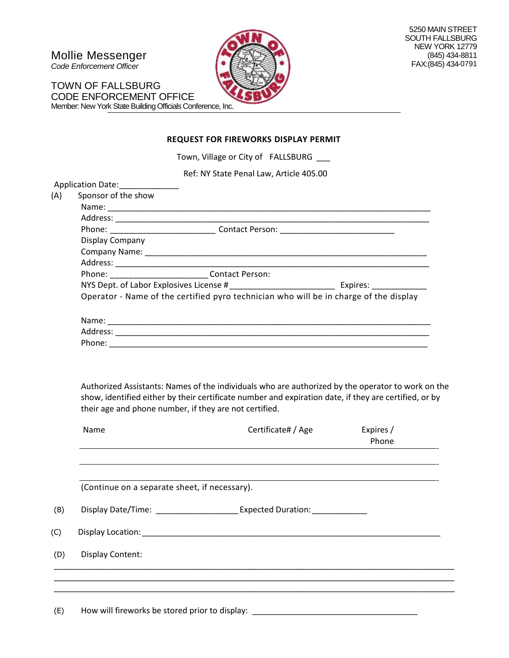Mollie Messenger

*Code Enforcement Officer*

TOWN OF FALLSBURG CODE ENFORCEMENT OFFICE Member: New York State Building Officials Conference, Inc.



#### **REQUEST FOR FIREWORKS DISPLAY PERMIT**

Town, Village or City of FALLSBURG \_\_\_

Ref: NY State Penal Law, Article 405.00

|            | Application Date: ______________                                                      |                                                                                                                                                                                                                                |                    |  |
|------------|---------------------------------------------------------------------------------------|--------------------------------------------------------------------------------------------------------------------------------------------------------------------------------------------------------------------------------|--------------------|--|
| (A)        | Sponsor of the show                                                                   |                                                                                                                                                                                                                                |                    |  |
|            |                                                                                       |                                                                                                                                                                                                                                |                    |  |
|            |                                                                                       |                                                                                                                                                                                                                                |                    |  |
|            |                                                                                       | Phone: _________________________________Contact Person: _________________________                                                                                                                                              |                    |  |
|            | Display Company                                                                       |                                                                                                                                                                                                                                |                    |  |
|            |                                                                                       |                                                                                                                                                                                                                                |                    |  |
|            |                                                                                       |                                                                                                                                                                                                                                |                    |  |
|            | Phone: ___________________________Contact Person:                                     |                                                                                                                                                                                                                                |                    |  |
|            |                                                                                       |                                                                                                                                                                                                                                |                    |  |
|            | Operator - Name of the certified pyro technician who will be in charge of the display |                                                                                                                                                                                                                                |                    |  |
|            |                                                                                       |                                                                                                                                                                                                                                |                    |  |
|            |                                                                                       |                                                                                                                                                                                                                                |                    |  |
|            |                                                                                       |                                                                                                                                                                                                                                |                    |  |
|            |                                                                                       |                                                                                                                                                                                                                                |                    |  |
|            |                                                                                       |                                                                                                                                                                                                                                |                    |  |
|            |                                                                                       | their age and phone number, if they are not certified.                                                                                                                                                                         |                    |  |
|            | Name                                                                                  | Certificate# / Age                                                                                                                                                                                                             | Expires /<br>Phone |  |
|            |                                                                                       |                                                                                                                                                                                                                                |                    |  |
|            | (Continue on a separate sheet, if necessary).                                         |                                                                                                                                                                                                                                |                    |  |
|            |                                                                                       |                                                                                                                                                                                                                                |                    |  |
|            |                                                                                       | Display Date/Time: ________________________ Expected Duration: _________________                                                                                                                                               |                    |  |
| (B)        |                                                                                       | Display Location: National Contract of the Contract of the Contract of the Contract of the Contract of the Contract of the Contract of the Contract of the Contract of the Contract of the Contract of the Contract of the Con |                    |  |
| (C)<br>(D) | <b>Display Content:</b>                                                               |                                                                                                                                                                                                                                |                    |  |
|            |                                                                                       |                                                                                                                                                                                                                                |                    |  |
|            |                                                                                       |                                                                                                                                                                                                                                |                    |  |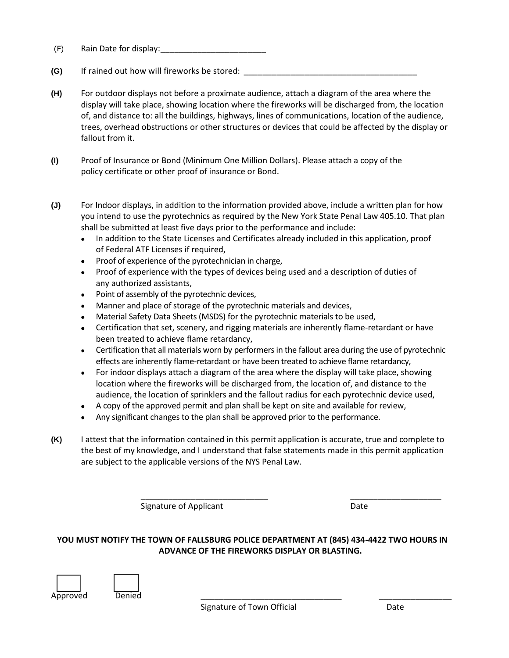- (F) Rain Date for display:\_\_\_\_\_\_\_\_\_\_\_\_\_\_\_\_\_\_\_\_\_\_\_
- **(G)** If rained out how will fireworks be stored:
- **(H)** For outdoor displays not before a proximate audience, attach a diagram of the area where the display will take place, showing location where the fireworks will be discharged from, the location of, and distance to: all the buildings, highways, lines of communications, location of the audience, trees, overhead obstructions or other structures or devices that could be affected by the display or fallout from it.
- **(I)** Proof of Insurance or Bond (Minimum One Million Dollars). Please attach a copy of the policy certificate or other proof of insurance or Bond.
- **(J)** For Indoor displays, in addition to the information provided above, include a written plan for how you intend to use the pyrotechnics as required by the New York State Penal Law 405.10. That plan shall be submitted at least five days prior to the performance and include:
	- In addition to the State Licenses and Certificates already included in this application, proof of Federal ATF Licenses if required,
	- Proof of experience of the pyrotechnician in charge,
	- Proof of experience with the types of devices being used and a description of duties of any authorized assistants,
	- Point of assembly of the pyrotechnic devices,
	- Manner and place of storage of the pyrotechnic materials and devices,
	- Material Safety Data Sheets (MSDS) for the pyrotechnic materials to be used,
	- Certification that set, scenery, and rigging materials are inherently flame-retardant or have been treated to achieve flame retardancy,
	- Certification that all materials worn by performers in the fallout area during the use of pyrotechnic effects are inherently flame-retardant or have been treated to achieve flame retardancy,
	- For indoor displays attach a diagram of the area where the display will take place, showing location where the fireworks will be discharged from, the location of, and distance to the audience, the location of sprinklers and the fallout radius for each pyrotechnic device used,
	- A copy of the approved permit and plan shall be kept on site and available for review,
	- Any significant changes to the plan shall be approved prior to the performance.
- **(K)** I attest that the information contained in this permit application is accurate, true and complete to the best of my knowledge, and I understand that false statements made in this permit application are subject to the applicable versions of the NYS Penal Law.

Signature of Applicant Date Date

#### **YOU MUST NOTIFY THE TOWN OF FALLSBURG POLICE DEPARTMENT AT (845) 434-4422 TWO HOURS IN ADVANCE OF THE FIREWORKS DISPLAY OR BLASTING.**

\_\_\_\_\_\_\_\_\_\_\_\_\_\_\_\_\_\_\_\_\_\_\_\_\_\_\_\_ \_\_\_\_\_\_\_\_\_\_\_\_\_\_\_\_\_\_\_\_

Approved Denied \_\_\_\_\_\_\_\_\_\_\_\_\_\_\_\_\_\_\_\_\_\_\_\_\_\_\_\_\_\_\_ \_\_\_\_\_\_\_\_\_\_\_\_\_\_\_\_

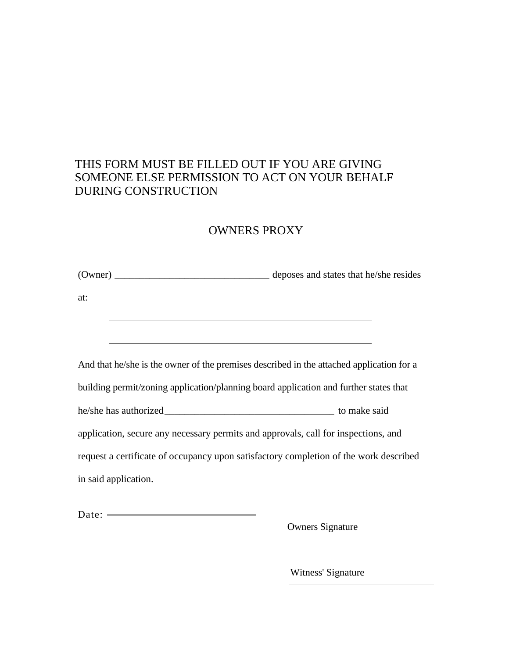### THIS FORM MUST BE FILLED OUT IF YOU ARE GIVING SOMEONE ELSE PERMISSION TO ACT ON YOUR BEHALF DURING CONSTRUCTION

## OWNERS PROXY

| at:                                                                                      |  |  |
|------------------------------------------------------------------------------------------|--|--|
|                                                                                          |  |  |
|                                                                                          |  |  |
| And that he/she is the owner of the premises described in the attached application for a |  |  |
| building permit/zoning application/planning board application and further states that    |  |  |
|                                                                                          |  |  |
| application, secure any necessary permits and approvals, call for inspections, and       |  |  |
| request a certificate of occupancy upon satisfactory completion of the work described    |  |  |
| in said application.                                                                     |  |  |
|                                                                                          |  |  |

Date: —

Owners Signature

Witness' Signature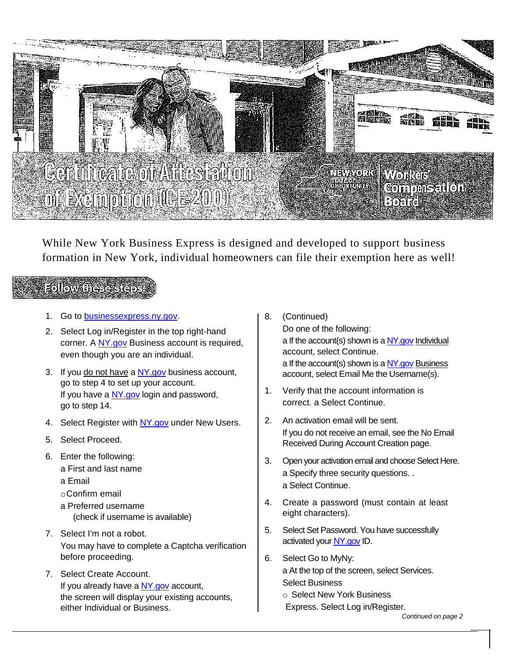

While New York Business Express is designed and developed to support business formation in New York, individual homeowners can file their exemption here as well!

## Followarrese

- 1. Go to [businessexpress.ny.gov.](http://businessexpress.ny.gov/)
- 2. Select Log in/Register in the top right-hand corner. A [NY.gov](http://ny.gov/) Business account is required, even though you are an individual.
- 3. If you do not have a NY gov business account, go to step 4 to set up your account. If you have a [NY.gov](http://ny.gov/) login and password, go to step 14.
- 4. Select Register with [NY.gov](http://ny.gov/) under New Users.
- 5. Select Proceed.
- 6. Enter the following: a First and last name
	- a Email
	- oConfirm email
	- a Preferred username (check if username is available)
- 7. Select I'm not a robot. You may have to complete a Captcha verification before proceeding.
- 7. Select Create Account. If you already have a [NY.gov](http://ny.gov/) account, the screen will display your existing accounts, either Individual or Business.
- 8. (Continued) Do one of the following: a If the account(s) shown is [a NY.gov](http://ny.gov/) Individual account, select Continue. a If the account(s) shown is [a NY.gov](http://ny.gov/) Business account, select Email Me the Username(s).
- 1. Verify that the account information is correct. a Select Continue.
- 2. An activation email will be sent. If you do not receive an email, see the No Email Received During Account Creation page.
- 3. Open your activation email and choose Select Here. a Specify three security questions. . a Select Continue.
- 4. Create a password (must contain at least eight characters).
- 5. Select Set Password. You have successfully activated you[r NY.gov](http://ny.gov/) ID.
- 6. Select Go to MyNy: a At the top of the screen, select Services. Select Business
	- o Select New York Business
	- Express. Select Log in/Register.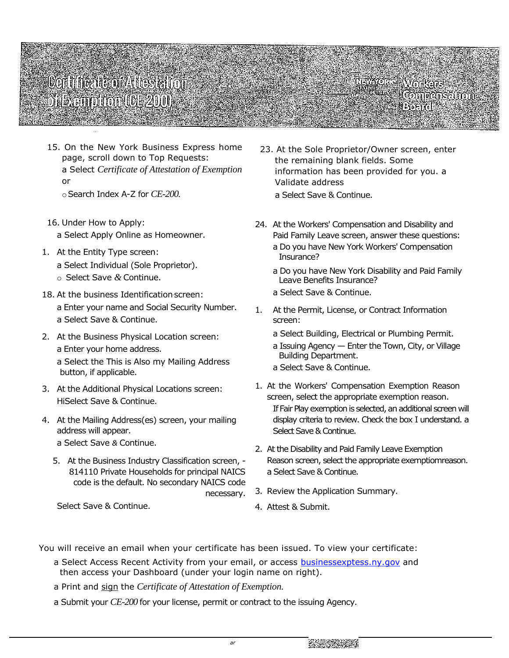# Contribution to should **Mikemoron (CE200)**

Connensation

15. On the New York Business Express home page, scroll down to Top Requests: a Select *Certificate of Attestation of Exemption*  or

oSearch Index A-Z for *CE-200.*

- 16. Under How to Apply: a Select Apply Online as Homeowner.
- 1. At the Entity Type screen: a Select Individual (Sole Proprietor). o Select Save *&* Continue.
- 18. At the business Identification screen: a Enter your name and Social Security Number. a Select Save & Continue.
- 2. At the Business Physical Location screen: a Enter your home address. a Select the This is Also my Mailing Address button, if applicable.
- 3. At the Additional Physical Locations screen: HiSelect Save & Continue.
- 4. At the Mailing Address(es) screen, your mailing address will appear. a Select Save *&* Continue.
	- 5. At the Business Industry Classification screen, 814110 Private Households for principal NAICS code is the default. No secondary NAICS code necessary.

Select Save & Continue.

- 23. At the Sole Proprietor/Owner screen, enter the remaining blank fields. Some information has been provided for you. a Validate address a Select Save & Continue.
- 24. At the Workers' Compensation and Disability and Paid Family Leave screen, answer these questions: a Do you have New York Workers' Compensation Insurance?
	- a Do you have New York Disability and Paid Family Leave Benefits Insurance?
	- a Select Save & Continue.
- 1. At the Permit, License, or Contract Information screen:
	- a Select Building, Electrical or Plumbing Permit.
	- a Issuing Agency Enter the Town, City, or Village Building Department.
	- a Select Save & Continue.
- 1. At the Workers' Compensation Exemption Reason screen, select the appropriate exemption reason. If Fair Play exemption is selected, an additional screen will display criteria to review. Check the box I understand. a Select Save & Continue.
- 2. At the Disability and Paid Family Leave Exemption Reason screen, select the appropriate exemptiomreason. a Select Save & Continue.
- 3. Review the Application Summary.
- 4. Attest & Submit.

You will receive an email when your certificate has been issued. To view your certificate:

- a Select Access Recent Activity from your email, or access [businessexptess.ny.gov](http://businessexptess.ny.gov/) and then access your Dashboard (under your login name on right).
- a Print and sign the *Certificate of Attestation of Exemption.*
- a Submit your *CE-200* for your license, permit or contract to the issuing Agency.